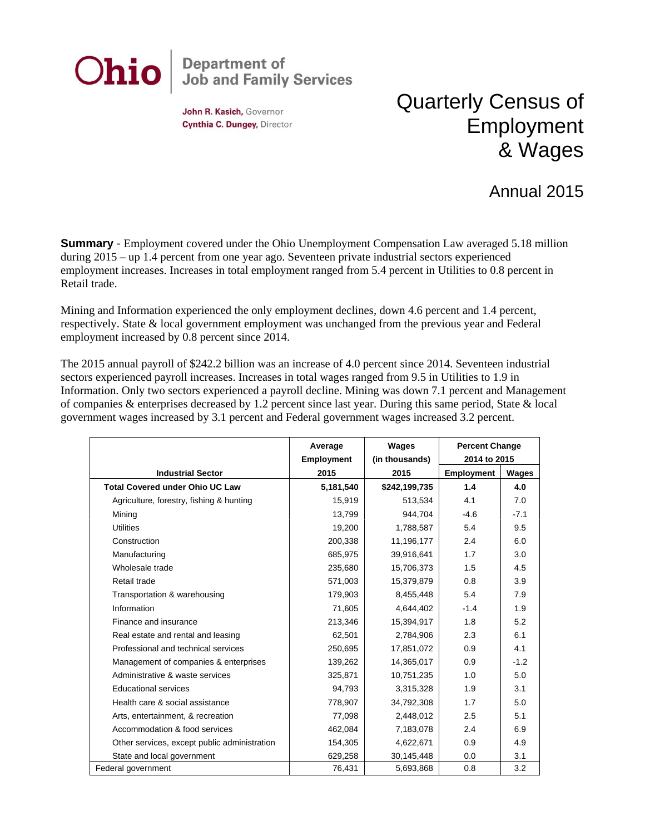

John R. Kasich, Governor Cynthia C. Dungey, Director

## Quarterly Census of Employment & Wages

## Annual 2015

**Summary** - Employment covered under the Ohio Unemployment Compensation Law averaged 5.18 million during 2015 – up 1.4 percent from one year ago. Seventeen private industrial sectors experienced employment increases. Increases in total employment ranged from 5.4 percent in Utilities to 0.8 percent in Retail trade.

Mining and Information experienced the only employment declines, down 4.6 percent and 1.4 percent, respectively. State & local government employment was unchanged from the previous year and Federal employment increased by 0.8 percent since 2014.

The 2015 annual payroll of \$242.2 billion was an increase of 4.0 percent since 2014. Seventeen industrial sectors experienced payroll increases. Increases in total wages ranged from 9.5 in Utilities to 1.9 in Information. Only two sectors experienced a payroll decline. Mining was down 7.1 percent and Management of companies & enterprises decreased by 1.2 percent since last year. During this same period, State & local government wages increased by 3.1 percent and Federal government wages increased 3.2 percent.

|                                              | Average<br><b>Employment</b> | Wages<br>(in thousands) | <b>Percent Change</b><br>2014 to 2015 |        |
|----------------------------------------------|------------------------------|-------------------------|---------------------------------------|--------|
| <b>Industrial Sector</b>                     | 2015                         | 2015                    | <b>Employment</b>                     | Wages  |
| <b>Total Covered under Ohio UC Law</b>       | 5,181,540                    | \$242,199,735           | 1.4                                   | 4.0    |
| Agriculture, forestry, fishing & hunting     | 15,919                       | 513,534                 | 4.1                                   | 7.0    |
| Minina                                       | 13,799                       | 944,704                 | $-4.6$                                | $-7.1$ |
| <b>Utilities</b>                             | 19,200                       | 1,788,587               | 5.4                                   | 9.5    |
| Construction                                 | 200,338                      | 11,196,177              | 2.4                                   | 6.0    |
| Manufacturing                                | 685,975                      | 39,916,641              | 1.7                                   | 3.0    |
| Wholesale trade                              | 235,680                      | 15,706,373              | 1.5                                   | 4.5    |
| Retail trade                                 | 571,003                      | 15,379,879              | 0.8                                   | 3.9    |
| Transportation & warehousing                 | 179,903                      | 8,455,448               | 5.4                                   | 7.9    |
| Information                                  | 71,605                       | 4,644,402               | $-1.4$                                | 1.9    |
| Finance and insurance                        | 213,346                      | 15,394,917              | 1.8                                   | 5.2    |
| Real estate and rental and leasing           | 62,501                       | 2,784,906               | 2.3                                   | 6.1    |
| Professional and technical services          | 250,695                      | 17,851,072              | 0.9                                   | 4.1    |
| Management of companies & enterprises        | 139,262                      | 14,365,017              | 0.9                                   | $-1.2$ |
| Administrative & waste services              | 325,871                      | 10,751,235              | 1.0                                   | 5.0    |
| <b>Educational services</b>                  | 94,793                       | 3,315,328               | 1.9                                   | 3.1    |
| Health care & social assistance              | 778,907                      | 34,792,308              | 1.7                                   | 5.0    |
| Arts, entertainment, & recreation            | 77,098                       | 2,448,012               | 2.5                                   | 5.1    |
| Accommodation & food services                | 462,084                      | 7,183,078               | 2.4                                   | 6.9    |
| Other services, except public administration | 154,305                      | 4,622,671               | 0.9                                   | 4.9    |
| State and local government                   | 629,258                      | 30,145,448              | 0.0                                   | 3.1    |
| Federal government                           | 76,431                       | 5,693,868               | 0.8                                   | 3.2    |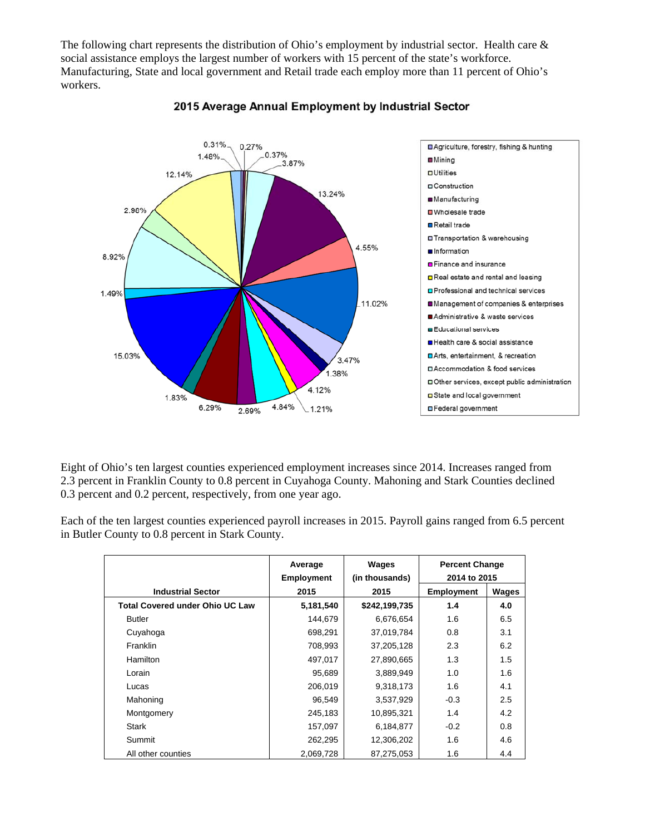The following chart represents the distribution of Ohio's employment by industrial sector. Health care & social assistance employs the largest number of workers with 15 percent of the state's workforce. Manufacturing, State and local government and Retail trade each employ more than 11 percent of Ohio's workers.



## 2015 Average Annual Employment by Industrial Sector

Eight of Ohio's ten largest counties experienced employment increases since 2014. Increases ranged from 2.3 percent in Franklin County to 0.8 percent in Cuyahoga County. Mahoning and Stark Counties declined 0.3 percent and 0.2 percent, respectively, from one year ago.

Each of the ten largest counties experienced payroll increases in 2015. Payroll gains ranged from 6.5 percent in Butler County to 0.8 percent in Stark County.

|                                        | Average<br><b>Employment</b> | Wages<br>(in thousands) | <b>Percent Change</b><br>2014 to 2015 |       |
|----------------------------------------|------------------------------|-------------------------|---------------------------------------|-------|
| <b>Industrial Sector</b>               | 2015                         | 2015                    | <b>Employment</b>                     | Wages |
| <b>Total Covered under Ohio UC Law</b> | 5,181,540                    | \$242,199,735           | 1.4                                   | 4.0   |
| <b>Butler</b>                          | 144,679                      | 6,676,654               | 1.6                                   | 6.5   |
| Cuyahoga                               | 698,291                      | 37,019,784              | 0.8                                   | 3.1   |
| <b>Franklin</b>                        | 708,993                      | 37,205,128              | 2.3                                   | 6.2   |
| Hamilton                               | 497,017                      | 27,890,665              | 1.3                                   | 1.5   |
| Lorain                                 | 95,689                       | 3,889,949               | 1.0                                   | 1.6   |
| Lucas                                  | 206,019                      | 9,318,173               | 1.6                                   | 4.1   |
| Mahoning                               | 96,549                       | 3,537,929               | $-0.3$                                | 2.5   |
| Montgomery                             | 245,183                      | 10,895,321              | 1.4                                   | 4.2   |
| Stark                                  | 157,097                      | 6,184,877               | $-0.2$                                | 0.8   |
| Summit                                 | 262,295                      | 12,306,202              | 1.6                                   | 4.6   |
| All other counties                     | 2,069,728                    | 87,275,053              | 1.6                                   | 4.4   |